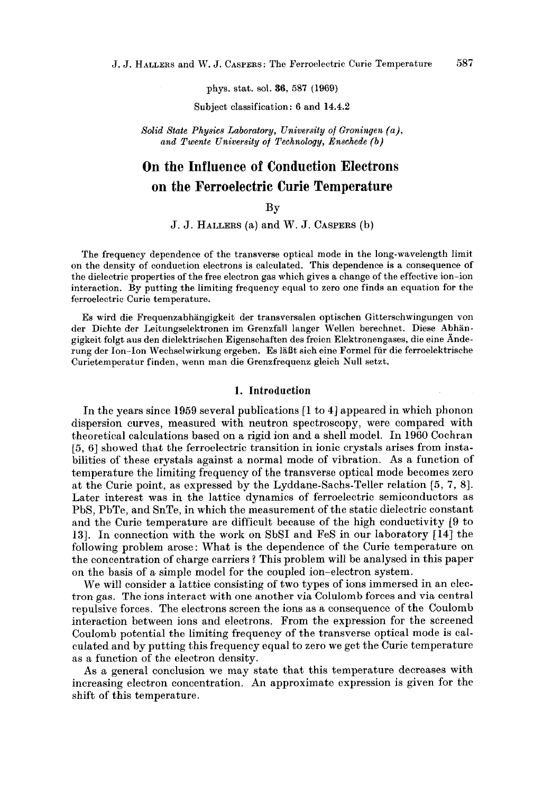**J. J. HALLERS** and W. J. **CASPERS:** The Ferroelectric Curie Temperature *<sup>587</sup>*

phys. stat. sol. **36, 587** (1969)

Subject classification: **6** and **14.4.2** 

*Solid State Physics Laboratory, University* of *Groningen (a),*  and Twente University of Technology, Enschede (b)

# **On the Influence of Conduction Electrons on the Ferroelectric Curie Temperature**

# BY

J. J. HALLERS (a) and W. J. CASPERS (b)

The frequency dependence of the transverse optical mode in the long-wavelength limit on the density of conduction electrons is calculated. This dependence is a consequence of the dielectric properties of the free electron gas which gives a change of the effective ion-ion interaction. By putting the limiting frequency equal to zero one finds an equation for the ferroelectric Curie temperature.

Es wird die Frequenzabhangigkeit der transversalen optischen Gitterschwingungen von der Dichte der Leitungselektronen im Grenzfall langer Wellen berechnet. Diese Abhangigkeit folgt aus den dielektrischen Eigenschaften des freien Elektronengases, die eine Anderung dcr Ion-Ion Wechselwirkung ergeben. Es 1aBt sich eine Formel fur die ferroelektrische Curietemperatur finden, wenn man die Grenzfrequenz gleich Null setzt.

#### **1. Introduction**

In the years since **1959** several publications **[l** to **41** appeared in which phonon dispersion curves, measured with neutron spectroscopy, were compared with theoretical calculations based on a rigid ion and a shell model. In **1960** Cochran *[5,* **61** showed that the ferroelectric transition in ionic crystals arises from instabilities of these crystals against a normal mode of vibration. As a function of temperature the limiting frequency of the transverse optical mode becomes zero at the Curie point, as expressed by the Lyddane-Sachs-Teller relation **[5, 7,** 81. Later interest was in the lattice dynamics of ferroelectric semiconductors as PbS, PbTe, and SnTe, in which the measurement of the static dielectric constant and the Curie temperature are difficult because of the high conductivity **[9** to **131.** In connection with the work on SbSI and FeS in our laboratory **[14]** the following problem arose: What is the dependence of the Curie temperature on the concentration of charge carriers ? This problem will be analysed in this paper on the basis of a simple model for the coupled ion-electron system.

We will consider a lattice consisting of two types of ions immersed in an electron gas. The ions interact with one another **via** Colulomb forces and via central repulsive forces. The electrons screen the ions as **a** consequence of the Coulomb interaction between ions and electrons. From the expression for the screened Coulomb potential the limiting frequency of the transverse optical mode is calculated and by putting this frequency equal to zero we get the Curie temperature as a function of the electron density.

As a general conclusion we may state that this temperature decreases with increasing electron concentration. An approximate expression is given for the shift of this temperature.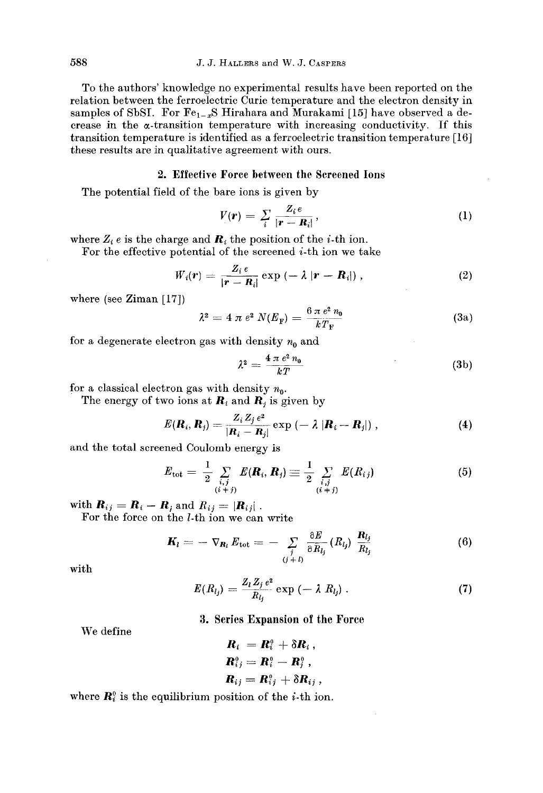To the authors' knowledge no experimental results have been reported on the relation between the ferroelectric Curie temperature and the electron density in samples of SbSI. For  $Fe_{1-x}S$  Hirahara and Murakami [15] have observed a decrease in the  $\alpha$ -transition temperature with increasing conductivity. If this transition temperature is identified as a ferroelectric transition temperature **[16]**  these results are in qualitative agreement with ours.

## **2. Effective Force between the Screened Ions**

The potential field of the bare ions is given by  
\n
$$
V(r) = \sum_{i} \frac{Z_i e}{|r - R_i|},
$$
\n(1)

where  $Z_i e$  is the charge and  $\boldsymbol{R}_i$  the position of the *i*-th ion.

For the effective potential of the screened  $i$ -th ion we take

$$
W_i(\mathbf{r}) = \frac{Z_i e}{|\mathbf{r} - \mathbf{R}_i|} \exp \left(-\lambda |\mathbf{r} - \mathbf{R}_i|\right), \tag{2}
$$

where (see Ziman  $[17]$ )

$$
\lambda^2 = 4 \pi e^2 N(E_{\rm F}) = \frac{6 \pi e^2 n_0}{k T_{\rm F}} \tag{3a}
$$

for a degenerate electron gas with density  $n_0$  and

$$
\lambda^2 = \frac{4 \pi e^2 n_0}{kT} \tag{3b}
$$

for a classical electron gas with density  $n_0$ .

The energy of two ions at  $\mathbf{R}_i$  and  $\mathbf{R}_j$  is given by

$$
E(\mathbf{R}_i, \mathbf{R}_j) = \frac{Z_i Z_j e^2}{|\mathbf{R}_i - \mathbf{R}_j|} \exp(-\lambda |\mathbf{R}_i - \mathbf{R}_j|), \qquad (4)
$$

and the total screened Coulomb energy is

$$
E_{\text{tot}} = \frac{1}{2} \sum_{\substack{i,j \\ (i+j)}} E(\mathbf{R}_i, \mathbf{R}_j) \equiv \frac{1}{2} \sum_{\substack{i,j \\ (i+j)}} E(R_{ij}) \tag{5}
$$

with  $\mathbf{R}_{ij} = \mathbf{R}_i - \mathbf{R}_j$  and  $R_{ij} = |\mathbf{R}_{ij}|$ .<br>For the force on the *l*-th ion we can write

$$
\boldsymbol{K}_{l} = -\nabla_{\boldsymbol{R}_{l}} E_{\text{tot}} = -\sum_{\substack{j \\ (j + l)}} \frac{\partial E}{\partial R_{l_{j}}} (R_{l_{j}}) \frac{\boldsymbol{R}_{l_{j}}}{R_{l_{j}}} \tag{6}
$$

with

$$
E(R_{l_j}) = \frac{Z_l Z_j e^2}{R_{l_j}} \exp(-\lambda R_{l_j}). \qquad (7)
$$

# **3. Series Expansion of tho Force**

We define

$$
R_i = R_i^0 + \delta R_i,
$$
  
\n
$$
R_{ij}^0 = R_i^0 - R_j^0,
$$
  
\n
$$
R_{ij} = R_{ij}^0 + \delta R_{ij},
$$

where  $\mathbf{R}_i^0$  is the equilibrium position of the *i*-th ion.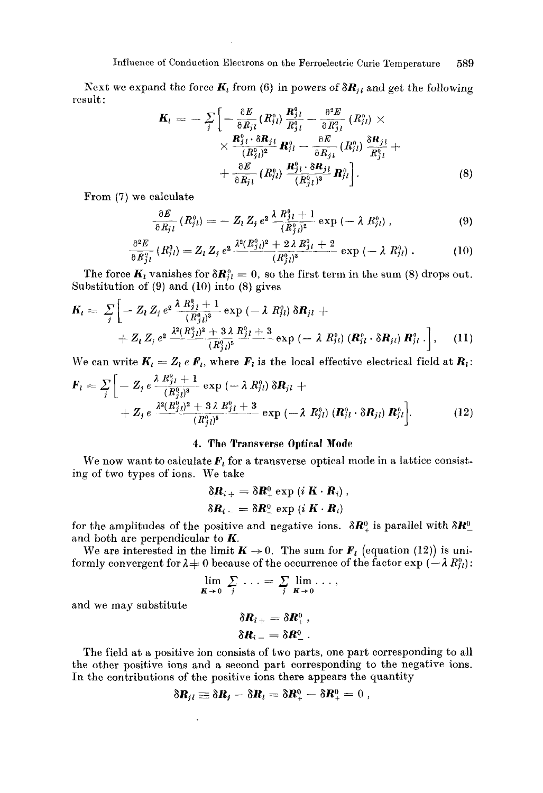### Influence of Conduction Electrons on the Ferroelectric Curie Temperature 589

Next we expand the force  $K_l$  from (6) in powers of  $\delta R_{jl}$  and get the following result :

$$
\mathbf{K}_{l} = -\sum_{j} \left[ -\frac{\partial E}{\partial R_{j l}} (R_{j l}^{\circ}) \frac{\mathbf{R}_{j l}^{0}}{R_{j l}^{0}} - \frac{\partial^{2} E}{\partial R_{j l}^{2}} (R_{j l}^{\circ}) \times \right. \\ \times \frac{\mathbf{R}_{j l}^{0} \cdot \delta \mathbf{R}_{j l}}{(R_{j l}^{\circ})^{2}} \mathbf{R}_{l l}^{\circ} - \frac{\partial E}{\partial R_{j l}} (R_{j l}^{\circ}) \frac{\delta \mathbf{R}_{j l}}{R_{j l}^{\circ}} + \frac{\partial E}{\partial R_{j l}} (R_{j l}^{\circ}) \frac{\mathbf{R}_{j l}^{0} \cdot \delta \mathbf{R}_{j l}}{(R_{j l}^{\circ})^{3}} \mathbf{R}_{l l}^{\circ} \right]. \tag{8}
$$

From **(7)** we calculate

$$
\frac{\partial E}{\partial R_{j l}} (R_{j l}^0) = - Z_l Z_j e^{2} \frac{\lambda R_{j l}^0 + 1}{(R_{j l}^0)^2} \exp \left(-\lambda R_{j l}^0\right), \qquad (9)
$$

$$
\frac{\partial^2 E}{\partial R_{j\,l}^2} (R_{j\,l}^0) = Z_l Z_j e^{2} \frac{\lambda^2 (R_{j\,l}^0)^2 + 2\,\lambda R_{j\,l}^0 + 2}{(R_{j\,l}^0)^3} \exp\left(-\,\lambda R_{j\,l}^0\right). \tag{10}
$$

The force  $K_i$  vanishes for  $\delta R_{jl}^0 = 0$ , so the first term in the sum (8) drops out. Substitution of **(9)** and (10) into (8) gives

$$
K_{l} = \sum_{j} \left[ -Z_{l} Z_{j} e^{2} \frac{\lambda R_{j}^{0} + 1}{(R_{j}^{0})^{3}} \exp \left( -\lambda R_{j l}^{0} \right) \delta R_{j l} + + Z_{l} Z_{j} e^{2} \frac{\lambda^{2} (R_{j}^{0})^{2} + 3 \lambda R_{j l}^{0} + 3}{(R_{j}^{0})^{5}} \exp \left( -\lambda R_{j l}^{0} \right) \left( R_{j l}^{0} \cdot \delta R_{j l} \right) R_{j l}^{0} \right], \quad (11)
$$

We can write  $K_l = Z_l e F_l$ , where  $F_l$  is the local effective electrical field at  $R_l$ :

$$
\mathbf{F}_{l} = \sum_{j} \left[ -Z_{j} e \frac{\lambda R_{jl}^{0} + 1}{(R_{jl}^{0})^{3}} \exp\left(-\lambda R_{jl}^{0}\right) \delta \mathbf{R}_{jl} + \right. \\ \left. + Z_{j} e \frac{\lambda^{2} (R_{jl}^{0})^{2} + 3 \lambda R_{jl}^{0} + 3}{(R_{jl}^{0})^{5}} \exp\left(-\lambda R_{jl}^{0}\right) (\mathbf{R}_{jl}^{0} \cdot \delta \mathbf{R}_{jl}) \mathbf{R}_{jl}^{0} \right]. \tag{12}
$$

### **4. Tho Transverse Optical Modr**

We now want to calculate  $F_i$  for a transverse optical mode in a lattice consisting of two types of ions. We take

$$
\delta R_{i+} = \delta R_{+}^{0} \exp (i \mathbf{K} \cdot \mathbf{R}_{i}),
$$
  

$$
\delta R_{i-} = \delta R_{-}^{0} \exp (i \mathbf{K} \cdot \mathbf{R}_{i})
$$

for the amplitudes of the positive and negative ions.  $\delta \mathbf{R}^0_+$  is parallel with  $\delta \mathbf{R}^0_$ and both are perpendicular to *K.* 

We are interested in the limit  $K \rightarrow 0$ . The sum for  $F_l$  (equation (12)) is uniformly convergent for  $\lambda + 0$  because of the occurrence of the factor  $\exp(-\lambda R_{j_l}^0)$ :<br>  $\lim_{\mathbf{K}\to 0} \sum_j ... = \sum_j \lim_{\mathbf{K}\to 0} ...$ 

$$
\lim_{\mathbf{K}\to 0} \sum_j \ldots = \sum_j \lim_{\mathbf{K}\to 0} \ldots,
$$

and we may substitute

 $\delta R_{i\pm} = \delta R^0$  ,  $\delta R_{i-} = \delta R_{-}^{0}$ .

The field at a positive ion consists of two parts, one part corresponding to all the other positive ions and a second part corresponding to the negative ions. In the contributions of the positive ions there appears the quantity  $\delta \mathbf{R}_{jl} \equiv \delta \mathbf{R}_{j} - \delta \mathbf{R}_{l} = \delta \mathbf{R}_{+}^0 - \delta \mathbf{R}_{+}^0 = 0$ ,

$$
\delta \mathbf{R}_{il} \equiv \delta \mathbf{R}_l - \delta \mathbf{R}_l = \delta \mathbf{R}_+^0 - \delta \mathbf{R}_+^0 = 0 \ ,
$$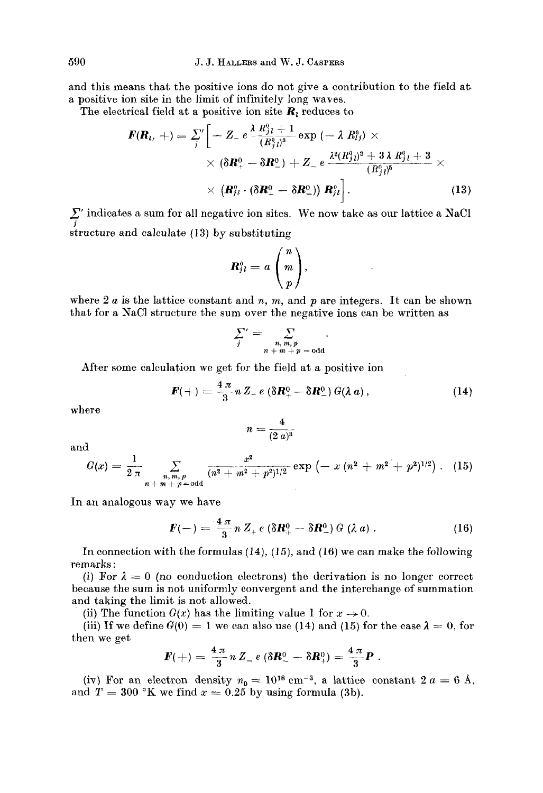and this means that the positive ions do not give a contribution to the field at a positive ion site in the limit of infinitely long waves.

The electrical field at a positive ion site  $R_i$  reduces to

$$
\mathbf{F}(\mathbf{R}_l, +) = \sum_{j}^{\prime\prime} \left[ -Z_{-} e^{-\frac{\lambda R_{jl}^6 + 1}{(R_{jl}^9)^3}} \exp \left( -\lambda R_{lj}^9 \right) \times \right. \\ \times \left. (\delta \mathbf{R}_{+}^0 - \delta \mathbf{R}_{-}^0) + Z_{-} e^{-\frac{\lambda^2 (R_{jl}^9)^2 + 3 \lambda R_{jl}^6 + 3 \lambda}{(R_{jl}^9)^5}} \times \right. \\ \times \left. (\mathbf{R}_{jl}^9 \cdot (\delta \mathbf{R}_{+}^0 - \delta \mathbf{R}_{-}^0)) \mathbf{R}_{jl}^9 \right]. \tag{13}
$$

 $\sum_{i}$ ' indicates a sum for all negative ion sites. We now take as our lattice a NaCl structure and calculate **(13)** by substituting

substituting  
\n
$$
\mathbf{R}_{jl}^0 = a \begin{pmatrix} n \\ m \\ p \end{pmatrix},
$$

where  $2a$  is the lattice constant and *n, m,* and *p* are integers. It can be shown that for a NaCl structure the sum over the negative ions can be written as

$$
\sum_{j}^{\prime} = \sum_{\substack{n, m, p \\ n + m + p = \text{odd}}}
$$

After some calculation we get for the field at a positive ion

$$
\boldsymbol{F}(+) = \frac{4 \pi}{3} n Z_- e \left( \delta \boldsymbol{R}^0_+ - \delta \boldsymbol{R}^0_- \right) G(\lambda \, a) \,, \tag{14}
$$

where

$$
n=\frac{4}{(2\ a)^3}
$$

and

$$
G(x) = \frac{1}{2 \pi} \sum_{\substack{n, m, p \ n+m + p \equiv \text{odd}}} \frac{x^2}{(n^2 + m^2 + p^2)^{1/2}} \exp \left(-x (n^2 + m^2 + p^2)^{1/2}\right). \quad (15)
$$

In an analogous way we have

$$
\mathbf{F}(\mathbf{u}) = \frac{4 \pi}{3} n Z_{+} e \left( \delta \mathbf{R}_{+}^{0} - \delta \mathbf{R}_{-}^{0} \right) G \left( \lambda a \right). \tag{16}
$$

In connection with the formulas **(14), (15),** and (16) we can make the following remarks :

(i) For  $\lambda = 0$  (no conduction electrons) the derivation is no longer correct because the sum is not uniformly convergent and the interchange of summation and taking the limit is not allowed.

(ii) The function  $G(x)$  has the limiting value 1 for  $x \to 0$ .

(iii) If we define  $G(0) = 1$  we can also use (14) and (15) for the case  $\lambda = 0$ , for the value of  $F(+) = \frac{4\pi}{3} n Z_- e (\delta \mathbf{R}^0_- - \delta \mathbf{R}^0_+) = \frac{4\pi}{3} \mathbf{P}$ . then we get

$$
F(+) = \frac{4 \pi}{3} n Z_{-} e (\delta R_{-}^{0} - \delta R_{+}^{0}) = \frac{4 \pi}{3} P
$$

(iv) For an electron density  $n_0 = 10^{18}$  cm<sup>-3</sup>, a lattice constant  $2a = 6$  Å, and  $T = 300$  <sup>o</sup>K we find  $x = 0.25$  by using formula (3b).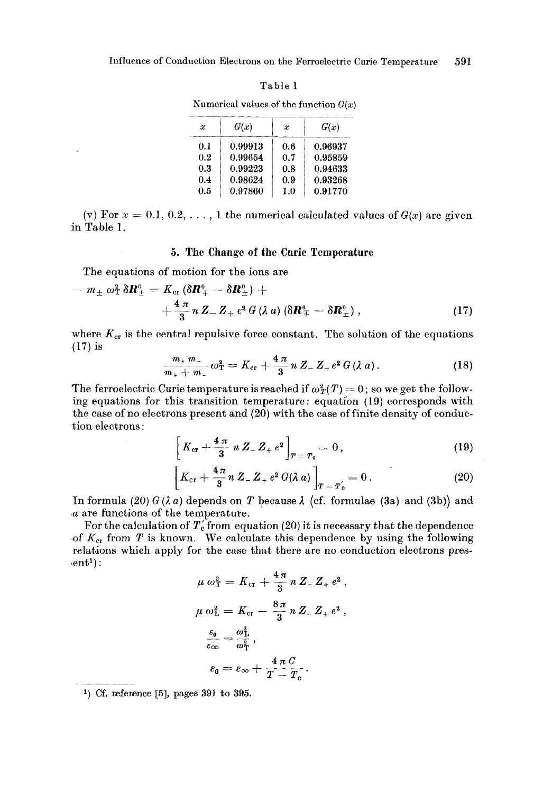**Influence of Conduction Electrons on the Ferroelectric Curie Temperature 591** 

|  | п |  |
|--|---|--|
|--|---|--|

| x   | G(x)    | x   | G(x)    |
|-----|---------|-----|---------|
| 0.1 | 0.99913 | 0.6 | 0.96937 |
| 0.2 | 0.99654 | 0.7 | 0.95859 |
| 0.3 | 0.99223 | 0.8 | 0.94633 |
| 0.4 | 0.98624 | 0.9 | 0.93268 |
| 0.5 | 0.97860 | 1.0 | 0.91770 |

Numerical values of the function  $G(x)$ 

(v) For  $x = 0.1, 0.2, \ldots$ , 1 the numerical calculated values of  $G(x)$  are given in Table 1.

#### **5. The Change of the Curie Temperature**

The equations of motion for the ions are  
\n
$$
- m_{\pm} \omega_{\rm T}^2 \delta \mathbf{R}_{\pm}^0 = K_{\rm cr} (\delta \mathbf{R}_{\mp}^0 - \delta \mathbf{R}_{\pm}^0) +
$$
\n
$$
+ \frac{4 \pi}{3} n Z_{-} Z_{+} e^2 G (\lambda a) (\delta \mathbf{R}_{\mp}^0 - \delta \mathbf{R}_{\pm}^0), \qquad (17)
$$

where  $K_{cr}$  is the central repulsive force constant. The solution of the equations **{17)** is

$$
\frac{m_+ \, m_-}{m_+ + m_-} \, \omega_{\rm T}^2 = K_{\rm cr} + \frac{4 \, \pi}{3} \, n \, Z_- \, Z_+ \, e^2 \, G \, (\lambda \, a) \,. \tag{18}
$$

The ferroelectric Curie temperature is reached if  $\omega_T^2(T) = 0$ ; so we get the following equations for this transition temperature : equation (19) corresponds with the case of no electrons present and **(20)** with the case of finite density of conduction electrons :

$$
\left[K_{\rm cr} + \frac{4\,\pi}{3}\,n\,Z_{-}\,Z_{+}\,e^{2}\right]_{T\,=\,T_{\rm c}} = 0\,,\tag{19}
$$

$$
\[K_{\rm cr} + \frac{4\pi}{3} n \, Z_{-} Z_{+} e^{2} G(\lambda a)\]_{T = T_{\rm c}'} = 0. \tag{20}
$$

In formula (20)  $G(\lambda a)$  depends on *T* because  $\lambda$  (cf. formulae (3a) and (3b)) and *.a* are functions of the temperature.

For the calculation of  $T_c$  from equation (20) it is necessary that the dependence of  $K_{cr}$  from T is known. We calculate this dependence by using the following relations which apply for the case that there are no conduction electrons pres  $ent<sup>1</sup>$ :

$$
\mu \omega_{\rm T}^{2} = K_{\rm cr} + \frac{4\pi}{3} n Z_{-} Z_{+} e^{2} ,
$$

$$
\mu \omega_{\rm L}^{2} = K_{\rm cr} - \frac{8\pi}{3} n Z_{-} Z_{+} e^{2} ,
$$

$$
\frac{\varepsilon_{0}}{\varepsilon_{\infty}} = \frac{\omega_{\rm L}^{2}}{\omega_{\rm T}^{2}} ,
$$

$$
\varepsilon_{0} = \varepsilon_{\infty} + \frac{4\pi C}{T - T_{\rm c}} .
$$

**l) Cf. reference** *[5],* **pages 391 to 395.**